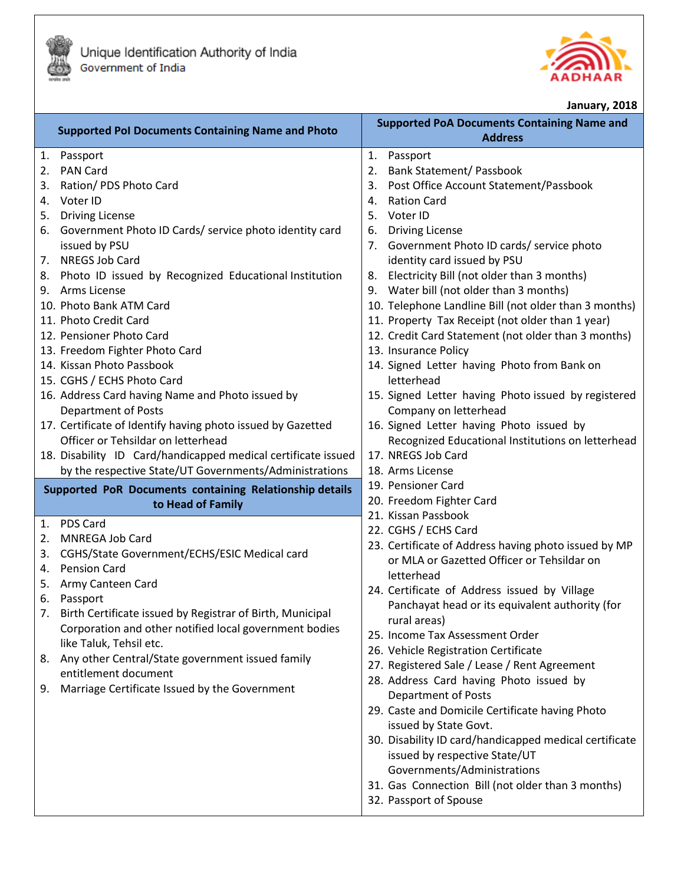



**January, 2018**

| <b>Supported Pol Documents Containing Name and Photo</b>      | <b>Supported PoA Documents Containing Name and</b><br><b>Address</b>     |
|---------------------------------------------------------------|--------------------------------------------------------------------------|
| Passport<br>1.                                                | 1.<br>Passport                                                           |
| <b>PAN Card</b><br>2.                                         | <b>Bank Statement/ Passbook</b><br>2.                                    |
| Ration/ PDS Photo Card<br>3.<br>Voter ID<br>4.                | Post Office Account Statement/Passbook<br>3.<br><b>Ration Card</b><br>4. |
| <b>Driving License</b><br>5.                                  | 5.<br>Voter ID                                                           |
| Government Photo ID Cards/ service photo identity card<br>6.  | <b>Driving License</b><br>6.                                             |
| issued by PSU                                                 | Government Photo ID cards/ service photo<br>7.                           |
| NREGS Job Card<br>7.                                          | identity card issued by PSU                                              |
| 8. Photo ID issued by Recognized Educational Institution      | Electricity Bill (not older than 3 months)<br>8.                         |
| 9. Arms License                                               | 9. Water bill (not older than 3 months)                                  |
| 10. Photo Bank ATM Card                                       | 10. Telephone Landline Bill (not older than 3 months)                    |
| 11. Photo Credit Card                                         | 11. Property Tax Receipt (not older than 1 year)                         |
| 12. Pensioner Photo Card                                      | 12. Credit Card Statement (not older than 3 months)                      |
| 13. Freedom Fighter Photo Card                                | 13. Insurance Policy                                                     |
| 14. Kissan Photo Passbook                                     | 14. Signed Letter having Photo from Bank on                              |
| 15. CGHS / ECHS Photo Card                                    | letterhead                                                               |
| 16. Address Card having Name and Photo issued by              | 15. Signed Letter having Photo issued by registered                      |
| <b>Department of Posts</b>                                    | Company on letterhead                                                    |
| 17. Certificate of Identify having photo issued by Gazetted   | 16. Signed Letter having Photo issued by                                 |
| Officer or Tehsildar on letterhead                            | Recognized Educational Institutions on letterhead                        |
| 18. Disability ID Card/handicapped medical certificate issued | 17. NREGS Job Card                                                       |
| by the respective State/UT Governments/Administrations        | 18. Arms License                                                         |
| Supported PoR Documents containing Relationship details       | 19. Pensioner Card                                                       |
| to Head of Family                                             | 20. Freedom Fighter Card                                                 |
| <b>PDS Card</b><br>1.                                         | 21. Kissan Passbook<br>22. CGHS / ECHS Card                              |
| 2.<br><b>MNREGA Job Card</b>                                  | 23. Certificate of Address having photo issued by MP                     |
| CGHS/State Government/ECHS/ESIC Medical card<br>3.            | or MLA or Gazetted Officer or Tehsildar on                               |
| <b>Pension Card</b><br>4.                                     | letterhead                                                               |
| Army Canteen Card<br>5.                                       | 24. Certificate of Address issued by Village                             |
| Passport<br>6.                                                | Panchayat head or its equivalent authority (for                          |
| 7. Birth Certificate issued by Registrar of Birth, Municipal  | rural areas)                                                             |
| Corporation and other notified local government bodies        | 25. Income Tax Assessment Order                                          |
| like Taluk, Tehsil etc.                                       | 26. Vehicle Registration Certificate                                     |
| Any other Central/State government issued family<br>8.        | 27. Registered Sale / Lease / Rent Agreement                             |
| entitlement document                                          | 28. Address Card having Photo issued by                                  |
| Marriage Certificate Issued by the Government<br>9.           | <b>Department of Posts</b>                                               |
|                                                               | 29. Caste and Domicile Certificate having Photo                          |
|                                                               | issued by State Govt.                                                    |
|                                                               | 30. Disability ID card/handicapped medical certificate                   |
|                                                               | issued by respective State/UT                                            |
|                                                               | Governments/Administrations                                              |
|                                                               | 31. Gas Connection Bill (not older than 3 months)                        |
|                                                               | 32. Passport of Spouse                                                   |